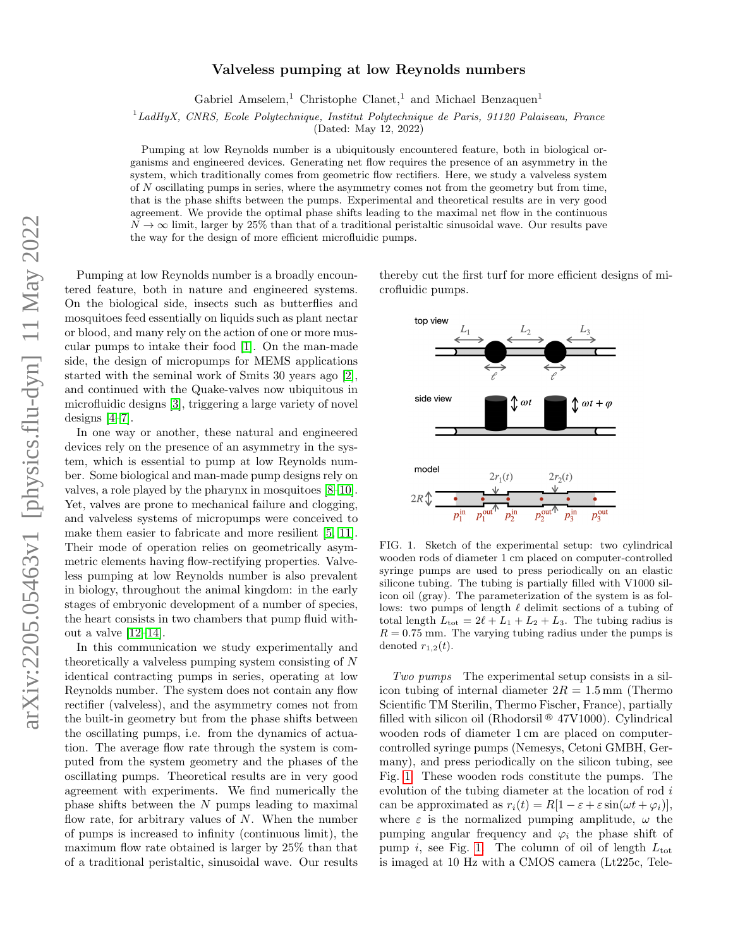## Valveless pumping at low Reynolds numbers

Gabriel Amselem,<sup>1</sup> Christophe Clanet,<sup>1</sup> and Michael Benzaquen<sup>1</sup>

 ${}^{1}$ LadHyX, CNRS, Ecole Polytechnique, Institut Polytechnique de Paris, 91120 Palaiseau, France

(Dated: May 12, 2022)

Pumping at low Reynolds number is a ubiquitously encountered feature, both in biological organisms and engineered devices. Generating net flow requires the presence of an asymmetry in the system, which traditionally comes from geometric flow rectifiers. Here, we study a valveless system of N oscillating pumps in series, where the asymmetry comes not from the geometry but from time, that is the phase shifts between the pumps. Experimental and theoretical results are in very good agreement. We provide the optimal phase shifts leading to the maximal net flow in the continuous  $N \to \infty$  limit, larger by 25% than that of a traditional peristaltic sinusoidal wave. Our results pave the way for the design of more efficient microfluidic pumps.

Pumping at low Reynolds number is a broadly encountered feature, both in nature and engineered systems. On the biological side, insects such as butterflies and mosquitoes feed essentially on liquids such as plant nectar or blood, and many rely on the action of one or more muscular pumps to intake their food [\[1\]](#page-4-0). On the man-made side, the design of micropumps for MEMS applications started with the seminal work of Smits 30 years ago [\[2\]](#page-4-1), and continued with the Quake-valves now ubiquitous in microfluidic designs [\[3\]](#page-4-2), triggering a large variety of novel designs [\[4](#page-4-3)[–7\]](#page-4-4).

In one way or another, these natural and engineered devices rely on the presence of an asymmetry in the system, which is essential to pump at low Reynolds number. Some biological and man-made pump designs rely on valves, a role played by the pharynx in mosquitoes [\[8–](#page-5-0)[10\]](#page-5-1). Yet, valves are prone to mechanical failure and clogging, and valveless systems of micropumps were conceived to make them easier to fabricate and more resilient [\[5,](#page-4-5) [11\]](#page-5-2). Their mode of operation relies on geometrically asymmetric elements having flow-rectifying properties. Valveless pumping at low Reynolds number is also prevalent in biology, throughout the animal kingdom: in the early stages of embryonic development of a number of species, the heart consists in two chambers that pump fluid without a valve [\[12–](#page-5-3)[14\]](#page-5-4).

In this communication we study experimentally and theoretically a valveless pumping system consisting of N identical contracting pumps in series, operating at low Reynolds number. The system does not contain any flow rectifier (valveless), and the asymmetry comes not from the built-in geometry but from the phase shifts between the oscillating pumps, i.e. from the dynamics of actuation. The average flow rate through the system is computed from the system geometry and the phases of the oscillating pumps. Theoretical results are in very good agreement with experiments. We find numerically the phase shifts between the N pumps leading to maximal flow rate, for arbitrary values of  $N$ . When the number of pumps is increased to infinity (continuous limit), the maximum flow rate obtained is larger by 25% than that of a traditional peristaltic, sinusoidal wave. Our results

thereby cut the first turf for more efficient designs of microfluidic pumps.



<span id="page-0-0"></span>FIG. 1. Sketch of the experimental setup: two cylindrical wooden rods of diameter 1 cm placed on computer-controlled syringe pumps are used to press periodically on an elastic silicone tubing. The tubing is partially filled with V1000 silicon oil (gray). The parameterization of the system is as follows: two pumps of length  $\ell$  delimit sections of a tubing of total length  $L_{\text{tot}} = 2\ell + L_1 + L_2 + L_3$ . The tubing radius is  $R = 0.75$  mm. The varying tubing radius under the pumps is denoted  $r_{1,2}(t)$ .

Two pumps The experimental setup consists in a silicon tubing of internal diameter  $2R = 1.5$  mm (Thermo Scientific TM Sterilin, Thermo Fischer, France), partially filled with silicon oil (Rhodorsil  $\mathcal{F}$  47V1000). Cylindrical wooden rods of diameter 1 cm are placed on computercontrolled syringe pumps (Nemesys, Cetoni GMBH, Germany), and press periodically on the silicon tubing, see Fig. [1.](#page-0-0) These wooden rods constitute the pumps. The evolution of the tubing diameter at the location of rod i can be approximated as  $r_i(t) = R[1 - \varepsilon + \varepsilon \sin(\omega t + \varphi_i)],$ where  $\varepsilon$  is the normalized pumping amplitude,  $\omega$  the pumping angular frequency and  $\varphi_i$  the phase shift of pump i, see Fig. [1.](#page-0-0) The column of oil of length  $L_{\text{tot}}$ is imaged at 10 Hz with a CMOS camera (Lt225c, Tele-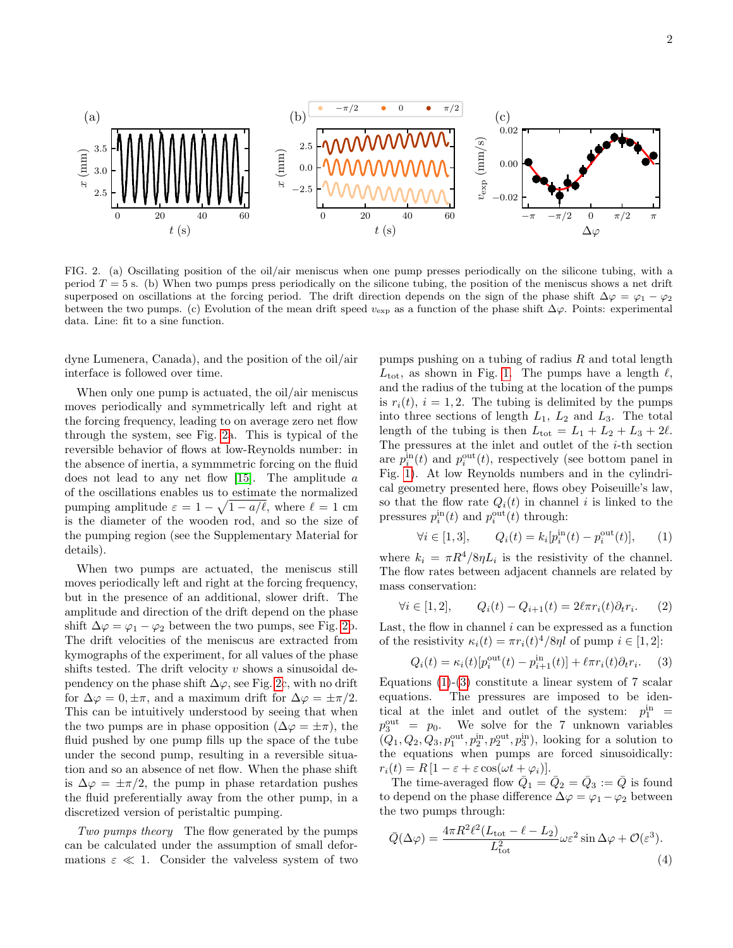

<span id="page-1-0"></span>FIG. 2. (a) Oscillating position of the oil/air meniscus when one pump presses periodically on the silicone tubing, with a period  $T = 5$  s. (b) When two pumps press periodically on the silicone tubing, the position of the meniscus shows a net drift superposed on oscillations at the forcing period. The drift direction depends on the sign of the phase shift  $\Delta\varphi = \varphi_1 - \varphi_2$ between the two pumps. (c) Evolution of the mean drift speed  $v_{\text{exp}}$  as a function of the phase shift  $\Delta\varphi$ . Points: experimental data. Line: fit to a sine function.

dyne Lumenera, Canada), and the position of the oil/air interface is followed over time.

When only one pump is actuated, the oil/air meniscus moves periodically and symmetrically left and right at the forcing frequency, leading to on average zero net flow through the system, see Fig. [2a](#page-1-0). This is typical of the reversible behavior of flows at low-Reynolds number: in the absence of inertia, a symmmetric forcing on the fluid does not lead to any net flow  $[15]$ . The amplitude a of the oscillations enables us to estimate the normalized pumping amplitude  $\varepsilon = 1 - \sqrt{1 - a/\ell}$ , where  $\ell = 1$  cm is the diameter of the wooden rod, and so the size of the pumping region (see the Supplementary Material for details).

When two pumps are actuated, the meniscus still moves periodically left and right at the forcing frequency, but in the presence of an additional, slower drift. The amplitude and direction of the drift depend on the phase shift  $\Delta \varphi = \varphi_1 - \varphi_2$  between the two pumps, see Fig. [2b](#page-1-0). The drift velocities of the meniscus are extracted from kymographs of the experiment, for all values of the phase shifts tested. The drift velocity  $v$  shows a sinusoidal dependency on the phase shift  $\Delta\varphi$ , see Fig. [2c](#page-1-0), with no drift for  $\Delta \varphi = 0, \pm \pi$ , and a maximum drift for  $\Delta \varphi = \pm \pi/2$ . This can be intuitively understood by seeing that when the two pumps are in phase opposition  $(\Delta \varphi = \pm \pi)$ , the fluid pushed by one pump fills up the space of the tube under the second pump, resulting in a reversible situation and so an absence of net flow. When the phase shift is  $\Delta \varphi = \pm \pi/2$ , the pump in phase retardation pushes the fluid preferentially away from the other pump, in a discretized version of peristaltic pumping.

Two pumps theory The flow generated by the pumps can be calculated under the assumption of small deformations  $\varepsilon \ll 1$ . Consider the valveless system of two

pumps pushing on a tubing of radius  $R$  and total length  $L_{\text{tot}}$ , as shown in Fig. [1.](#page-0-0) The pumps have a length  $\ell$ , and the radius of the tubing at the location of the pumps is  $r_i(t)$ ,  $i = 1, 2$ . The tubing is delimited by the pumps into three sections of length  $L_1$ ,  $L_2$  and  $L_3$ . The total length of the tubing is then  $L_{\text{tot}} = L_1 + L_2 + L_3 + 2\ell$ . The pressures at the inlet and outlet of the  $i$ -th section are  $p_i^{\text{in}}(t)$  and  $p_i^{\text{out}}(t)$ , respectively (see bottom panel in Fig. [1\)](#page-0-0). At low Reynolds numbers and in the cylindrical geometry presented here, flows obey Poiseuille's law, so that the flow rate  $Q_i(t)$  in channel i is linked to the pressures  $p_i^{\text{in}}(t)$  and  $p_i^{\text{out}}(t)$  through:

<span id="page-1-1"></span>
$$
\forall i \in [1,3], \qquad Q_i(t) = k_i [p_i^{\text{in}}(t) - p_i^{\text{out}}(t)], \qquad (1)
$$

where  $k_i = \pi R^4/8\eta L_i$  is the resistivity of the channel. The flow rates between adjacent channels are related by mass conservation:

$$
\forall i \in [1, 2], \qquad Q_i(t) - Q_{i+1}(t) = 2\ell \pi r_i(t)\partial_t r_i. \tag{2}
$$

Last, the flow in channel  $i$  can be expressed as a function of the resistivity  $\kappa_i(t) = \pi r_i(t)^4/8\eta l$  of pump  $i \in [1, 2]$ :

<span id="page-1-2"></span>
$$
Q_i(t) = \kappa_i(t)[p_i^{\text{out}}(t) - p_{i+1}^{\text{in}}(t)] + \ell \pi r_i(t)\partial_t r_i.
$$
 (3)

Equations  $(1)-(3)$  $(1)-(3)$  $(1)-(3)$  constitute a linear system of 7 scalar equations. The pressures are imposed to be identical at the inlet and outlet of the system:  $p_1^{\text{in}}$  =  $p_3^{\text{out}} = p_0$ . We solve for the 7 unknown variables  $(Q_1, Q_2, Q_3, p_1^{\text{out}}, p_2^{\text{in}}, p_2^{\text{out}}, p_3^{\text{in}})$ , looking for a solution to the equations when pumps are forced sinusoidically:  $r_i(t) = R [1 - \varepsilon + \varepsilon \cos(\omega t + \varphi_i)].$ 

The time-averaged flow  $\overline{Q}_1 = \overline{Q}_2 = \overline{Q}_3 := \overline{Q}$  is found to depend on the phase difference  $\Delta \varphi = \varphi_1 - \varphi_2$  between the two pumps through:

$$
\bar{Q}(\Delta\varphi) = \frac{4\pi R^2 \ell^2 (L_{\text{tot}} - \ell - L_2)}{L_{\text{tot}}^2} \omega \varepsilon^2 \sin \Delta\varphi + \mathcal{O}(\varepsilon^3). \tag{4}
$$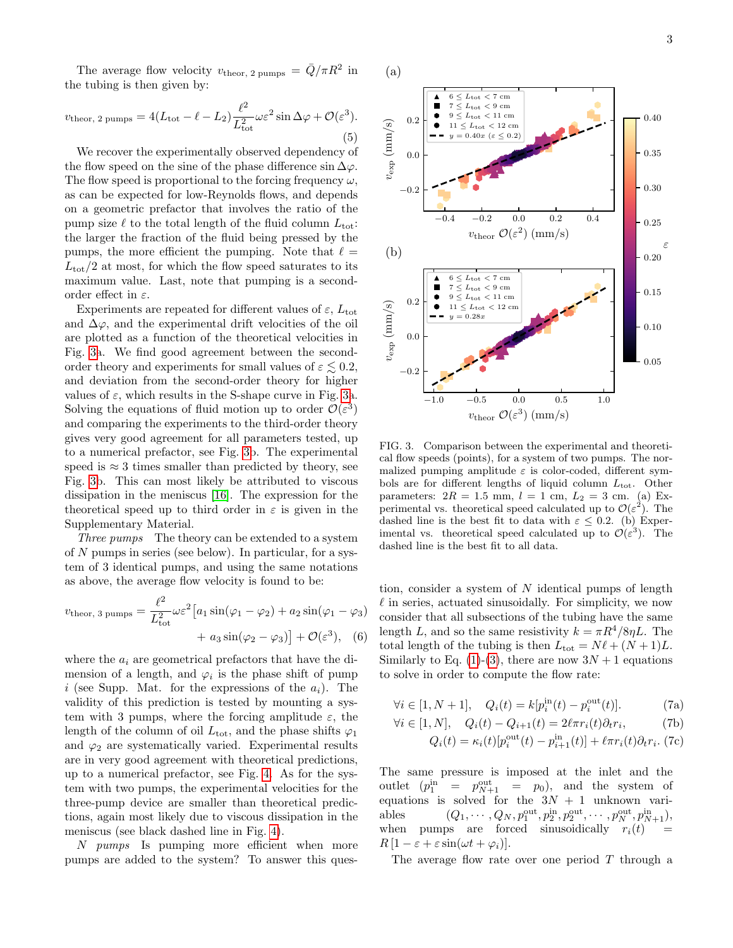The average flow velocity  $v_{\text{theor, 2 pumps}} = \bar{Q}/\pi R^2$  in the tubing is then given by:

$$
v_{\text{theor, 2 pumps}} = 4(L_{\text{tot}} - \ell - L_2) \frac{\ell^2}{L_{\text{tot}}^2} \omega \varepsilon^2 \sin \Delta \varphi + \mathcal{O}(\varepsilon^3). \tag{5}
$$

We recover the experimentally observed dependency of the flow speed on the sine of the phase difference  $\sin \Delta \varphi$ . The flow speed is proportional to the forcing frequency  $\omega$ , as can be expected for low-Reynolds flows, and depends on a geometric prefactor that involves the ratio of the pump size  $\ell$  to the total length of the fluid column  $L_{\text{tot}}$ : the larger the fraction of the fluid being pressed by the pumps, the more efficient the pumping. Note that  $\ell =$  $L_{\text{tot}}/2$  at most, for which the flow speed saturates to its maximum value. Last, note that pumping is a secondorder effect in  $\varepsilon$ .

Experiments are repeated for different values of  $\varepsilon$ ,  $L_{\text{tot}}$ and  $\Delta\varphi$ , and the experimental drift velocities of the oil are plotted as a function of the theoretical velocities in Fig. [3a](#page-2-0). We find good agreement between the secondorder theory and experiments for small values of  $\varepsilon \leq 0.2$ , and deviation from the second-order theory for higher values of  $\varepsilon$ , which results in the S-shape curve in Fig. [3a](#page-2-0). Solving the equations of fluid motion up to order  $\mathcal{O}(\varepsilon^3)$ and comparing the experiments to the third-order theory gives very good agreement for all parameters tested, up to a numerical prefactor, see Fig. [3b](#page-2-0). The experimental speed is  $\approx 3$  times smaller than predicted by theory, see Fig. [3b](#page-2-0). This can most likely be attributed to viscous dissipation in the meniscus [\[16\]](#page-5-6). The expression for the theoretical speed up to third order in  $\varepsilon$  is given in the Supplementary Material.

Three pumps The theory can be extended to a system of  $N$  pumps in series (see below). In particular, for a system of 3 identical pumps, and using the same notations as above, the average flow velocity is found to be:

<span id="page-2-1"></span>
$$
v_{\text{theor, 3 pumps}} = \frac{\ell^2}{L_{\text{tot}}^2} \omega \varepsilon^2 \left[ a_1 \sin(\varphi_1 - \varphi_2) + a_2 \sin(\varphi_1 - \varphi_3) + a_3 \sin(\varphi_2 - \varphi_3) \right] + \mathcal{O}(\varepsilon^3), \quad (6)
$$

where the  $a_i$  are geometrical prefactors that have the dimension of a length, and  $\varphi_i$  is the phase shift of pump i (see Supp. Mat. for the expressions of the  $a_i$ ). The validity of this prediction is tested by mounting a system with 3 pumps, where the forcing amplitude  $\varepsilon$ , the length of the column of oil  $L_{\text{tot}}$ , and the phase shifts  $\varphi_1$ and  $\varphi_2$  are systematically varied. Experimental results are in very good agreement with theoretical predictions, up to a numerical prefactor, see Fig. [4.](#page-3-0) As for the system with two pumps, the experimental velocities for the three-pump device are smaller than theoretical predictions, again most likely due to viscous dissipation in the meniscus (see black dashed line in Fig. [4\)](#page-3-0).

N pumps Is pumping more efficient when more pumps are added to the system? To answer this ques-



<span id="page-2-0"></span>FIG. 3. Comparison between the experimental and theoretical flow speeds (points), for a system of two pumps. The normalized pumping amplitude  $\varepsilon$  is color-coded, different symbols are for different lengths of liquid column  $L_{\text{tot}}$ . Other parameters:  $2R = 1.5$  mm,  $l = 1$  cm,  $L_2 = 3$  cm. (a) Experimental vs. theoretical speed calculated up to  $\mathcal{O}(\varepsilon^2)$ . The dashed line is the best fit to data with  $\varepsilon \leq 0.2$ . (b) Experimental vs. theoretical speed calculated up to  $\mathcal{O}(\varepsilon^3)$ . The dashed line is the best fit to all data.

tion, consider a system of  $N$  identical pumps of length  $\ell$  in series, actuated sinusoidally. For simplicity, we now consider that all subsections of the tubing have the same length L, and so the same resistivity  $k = \pi R^4/8\eta L$ . The total length of the tubing is then  $L_{\text{tot}} = N \ell + (N + 1)L$ . Similarly to Eq. [\(1\)](#page-1-1)-[\(3\)](#page-1-2), there are now  $3N+1$  equations to solve in order to compute the flow rate:

$$
\forall i \in [1, N+1], \quad Q_i(t) = k[p_i^{\text{in}}(t) - p_i^{\text{out}}(t)]. \tag{7a}
$$

$$
\forall i \in [1, N], \quad Q_i(t) - Q_{i+1}(t) = 2\ell \pi r_i(t)\partial_t r_i,\tag{7b}
$$

$$
Q_i(t) = \kappa_i(t)[p_i^{\text{out}}(t) - p_{i+1}^{\text{in}}(t)] + \ell \pi r_i(t)\partial_t r_i.
$$
 (7c)

The same pressure is imposed at the inlet and the outlet  $(p_1^{\text{in}} = p_{N+1}^{\text{out}} = p_0)$ , and the system of equations is solved for the  $3N + 1$  unknown variables  $(Q_1, \dots, Q_N, p_1^{\text{out}}, p_2^{\text{in}}, p_2^{\text{out}}, \dots, p_N^{\text{out}}, p_{N+1}^{\text{in}}),$ when pumps are forced sinusoidically  $r_i(t)$  $R\left[1-\varepsilon+\varepsilon\sin(\omega t+\varphi_i)\right].$ 

The average flow rate over one period  $T$  through a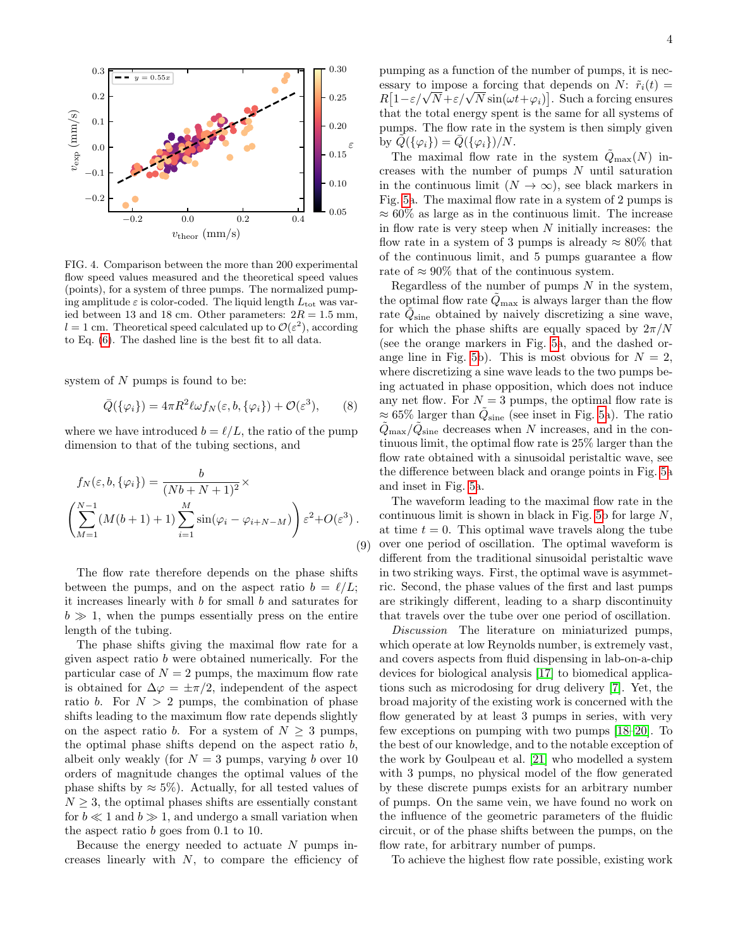

<span id="page-3-0"></span>FIG. 4. Comparison between the more than 200 experimental flow speed values measured and the theoretical speed values (points), for a system of three pumps. The normalized pumping amplitude  $\varepsilon$  is color-coded. The liquid length  $L_{\text{tot}}$  was varied between 13 and 18 cm. Other parameters:  $2R = 1.5$  mm,  $l = 1$  cm. Theoretical speed calculated up to  $\mathcal{O}(\varepsilon^2)$ , according to Eq. [\(6\)](#page-2-1). The dashed line is the best fit to all data.

system of  $N$  pumps is found to be:

$$
\bar{Q}(\{\varphi_i\}) = 4\pi R^2 \ell \omega f_N(\varepsilon, b, \{\varphi_i\}) + \mathcal{O}(\varepsilon^3), \qquad (8)
$$

where we have introduced  $b = \ell/L$ , the ratio of the pump dimension to that of the tubing sections, and

$$
f_N(\varepsilon, b, \{\varphi_i\}) = \frac{b}{(Nb + N + 1)^2} \times \left(\sum_{M=1}^{N-1} (M(b+1) + 1) \sum_{i=1}^{M} \sin(\varphi_i - \varphi_{i+N-M})\right) \varepsilon^2 + O(\varepsilon^3).
$$
\n(9)

The flow rate therefore depends on the phase shifts between the pumps, and on the aspect ratio  $b = \ell/L$ ; it increases linearly with b for small b and saturates for  $b \gg 1$ , when the pumps essentially press on the entire length of the tubing.

The phase shifts giving the maximal flow rate for a given aspect ratio b were obtained numerically. For the particular case of  $N = 2$  pumps, the maximum flow rate is obtained for  $\Delta \varphi = \pm \pi/2$ , independent of the aspect ratio b. For  $N > 2$  pumps, the combination of phase shifts leading to the maximum flow rate depends slightly on the aspect ratio b. For a system of  $N \geq 3$  pumps, the optimal phase shifts depend on the aspect ratio  $b$ , albeit only weakly (for  $N = 3$  pumps, varying b over 10 orders of magnitude changes the optimal values of the phase shifts by  $\approx 5\%$ ). Actually, for all tested values of  $N \geq 3$ , the optimal phases shifts are essentially constant for  $b \ll 1$  and  $b \gg 1$ , and undergo a small variation when the aspect ratio b goes from 0.1 to 10.

Because the energy needed to actuate  $N$  pumps increases linearly with  $N$ , to compare the efficiency of pumping as a function of the number of pumps, it is necessary to impose a forcing that depends on N:  $\tilde{r}_i(t)$  =  $R[1-\varepsilon/\sqrt{N}+\varepsilon/\sqrt{N}\sin(\omega t+\varphi_i)].$  Such a forcing ensures that the total energy spent is the same for all systems of pumps. The flow rate in the system is then simply given by  $Q({\varphi_i}) = Q({\varphi_i})/N$ .

The maximal flow rate in the system  $\tilde{Q}_{\text{max}}(N)$  increases with the number of pumps  $N$  until saturation in the continuous limit  $(N \to \infty)$ , see black markers in Fig. [5a](#page-4-6). The maximal flow rate in a system of 2 pumps is  $\approx 60\%$  as large as in the continuous limit. The increase in flow rate is very steep when  $N$  initially increases: the flow rate in a system of 3 pumps is already  $\approx 80\%$  that of the continuous limit, and 5 pumps guarantee a flow rate of  $\approx 90\%$  that of the continuous system.

Regardless of the number of pumps  $N$  in the system, the optimal flow rate  $Q_{\text{max}}$  is always larger than the flow rate  $\tilde{Q}_{\text{sine}}$  obtained by naively discretizing a sine wave, for which the phase shifts are equally spaced by  $2\pi/N$ (see the orange markers in Fig. [5a](#page-4-6), and the dashed or-ange line in Fig. [5b](#page-4-6)). This is most obvious for  $N = 2$ , where discretizing a sine wave leads to the two pumps being actuated in phase opposition, which does not induce any net flow. For  $N = 3$  pumps, the optimal flow rate is  $\approx 65\%$  larger than  $\tilde{Q}_{\text{sine}}$  (see inset in Fig. [5a](#page-4-6)). The ratio  $\tilde{Q}_{\text{max}}/\tilde{Q}_{\text{sine}}$  decreases when N increases, and in the continuous limit, the optimal flow rate is 25% larger than the flow rate obtained with a sinusoidal peristaltic wave, see the difference between black and orange points in Fig. [5a](#page-4-6) and inset in Fig. [5a](#page-4-6).

The waveform leading to the maximal flow rate in the continuous limit is shown in black in Fig. [5b](#page-4-6) for large  $N$ , at time  $t = 0$ . This optimal wave travels along the tube over one period of oscillation. The optimal waveform is different from the traditional sinusoidal peristaltic wave in two striking ways. First, the optimal wave is asymmetric. Second, the phase values of the first and last pumps are strikingly different, leading to a sharp discontinuity that travels over the tube over one period of oscillation.

Discussion The literature on miniaturized pumps, which operate at low Reynolds number, is extremely vast, and covers aspects from fluid dispensing in lab-on-a-chip devices for biological analysis [\[17\]](#page-5-7) to biomedical applications such as microdosing for drug delivery [\[7\]](#page-4-4). Yet, the broad majority of the existing work is concerned with the flow generated by at least 3 pumps in series, with very few exceptions on pumping with two pumps [\[18–](#page-5-8)[20\]](#page-5-9). To the best of our knowledge, and to the notable exception of the work by Goulpeau et al. [\[21\]](#page-5-10) who modelled a system with 3 pumps, no physical model of the flow generated by these discrete pumps exists for an arbitrary number of pumps. On the same vein, we have found no work on the influence of the geometric parameters of the fluidic circuit, or of the phase shifts between the pumps, on the flow rate, for arbitrary number of pumps.

To achieve the highest flow rate possible, existing work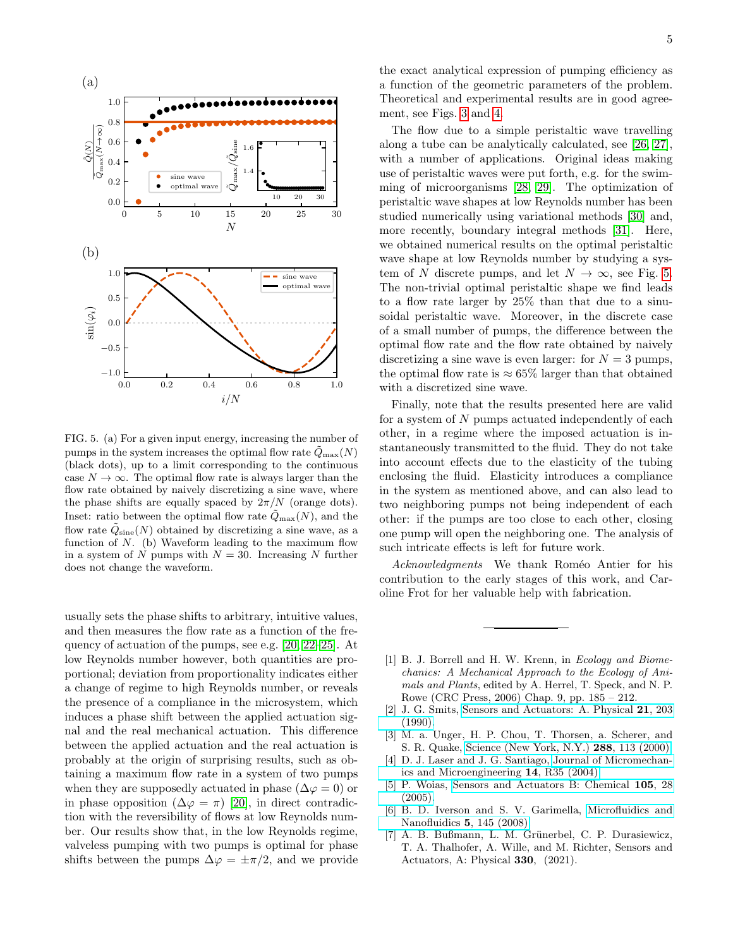

<span id="page-4-6"></span>FIG. 5. (a) For a given input energy, increasing the number of pumps in the system increases the optimal flow rate  $\tilde{Q}_{\text{max}}(N)$ (black dots), up to a limit corresponding to the continuous case  $N \to \infty$ . The optimal flow rate is always larger than the flow rate obtained by naively discretizing a sine wave, where the phase shifts are equally spaced by  $2\pi/N$  (orange dots). Inset: ratio between the optimal flow rate  $\tilde{Q}_{\text{max}}(N)$ , and the flow rate  $\tilde{Q}_{\text{sine}}(N)$  obtained by discretizing a sine wave, as a function of  $N$ . (b) Waveform leading to the maximum flow in a system of N pumps with  $N = 30$ . Increasing N further does not change the waveform.

usually sets the phase shifts to arbitrary, intuitive values, and then measures the flow rate as a function of the frequency of actuation of the pumps, see e.g. [\[20,](#page-5-9) [22](#page-5-11)[–25\]](#page-5-12). At low Reynolds number however, both quantities are proportional; deviation from proportionality indicates either a change of regime to high Reynolds number, or reveals the presence of a compliance in the microsystem, which induces a phase shift between the applied actuation signal and the real mechanical actuation. This difference between the applied actuation and the real actuation is probably at the origin of surprising results, such as obtaining a maximum flow rate in a system of two pumps when they are supposedly actuated in phase ( $\Delta \varphi = 0$ ) or in phase opposition  $(\Delta \varphi = \pi)$  [\[20\]](#page-5-9), in direct contradiction with the reversibility of flows at low Reynolds number. Our results show that, in the low Reynolds regime, valveless pumping with two pumps is optimal for phase shifts between the pumps  $\Delta \varphi = \pm \pi/2$ , and we provide

the exact analytical expression of pumping efficiency as a function of the geometric parameters of the problem. Theoretical and experimental results are in good agreement, see Figs. [3](#page-2-0) and [4.](#page-3-0)

The flow due to a simple peristaltic wave travelling along a tube can be analytically calculated, see [\[26,](#page-5-13) [27\]](#page-5-14), with a number of applications. Original ideas making use of peristaltic waves were put forth, e.g. for the swimming of microorganisms [\[28,](#page-5-15) [29\]](#page-5-16). The optimization of peristaltic wave shapes at low Reynolds number has been studied numerically using variational methods [\[30\]](#page-5-17) and, more recently, boundary integral methods [\[31\]](#page-5-18). Here, we obtained numerical results on the optimal peristaltic wave shape at low Reynolds number by studying a system of N discrete pumps, and let  $N \to \infty$ , see Fig. [5.](#page-4-6) The non-trivial optimal peristaltic shape we find leads to a flow rate larger by 25% than that due to a sinusoidal peristaltic wave. Moreover, in the discrete case of a small number of pumps, the difference between the optimal flow rate and the flow rate obtained by naively discretizing a sine wave is even larger: for  $N = 3$  pumps, the optimal flow rate is  $\approx 65\%$  larger than that obtained with a discretized sine wave.

Finally, note that the results presented here are valid for a system of N pumps actuated independently of each other, in a regime where the imposed actuation is instantaneously transmitted to the fluid. They do not take into account effects due to the elasticity of the tubing enclosing the fluid. Elasticity introduces a compliance in the system as mentioned above, and can also lead to two neighboring pumps not being independent of each other: if the pumps are too close to each other, closing one pump will open the neighboring one. The analysis of such intricate effects is left for future work.

Acknowledgments We thank Roméo Antier for his contribution to the early stages of this work, and Caroline Frot for her valuable help with fabrication.

- <span id="page-4-0"></span>[1] B. J. Borrell and H. W. Krenn, in Ecology and Biomechanics: A Mechanical Approach to the Ecology of Animals and Plants, edited by A. Herrel, T. Speck, and N. P. Rowe (CRC Press, 2006) Chap. 9, pp. 185 – 212.
- <span id="page-4-1"></span>[2] J. G. Smits, [Sensors and Actuators: A. Physical](https://doi.org/10.1016/0924-4247(90)85039-7) 21, 203 [\(1990\).](https://doi.org/10.1016/0924-4247(90)85039-7)
- <span id="page-4-2"></span>[3] M. a. Unger, H. P. Chou, T. Thorsen, a. Scherer, and S. R. Quake, [Science \(New York, N.Y.\)](https://doi.org/10.1126/science.288.5463.113) 288, 113 (2000).
- <span id="page-4-3"></span>[4] D. J. Laser and J. G. Santiago, [Journal of Micromechan](https://doi.org/10.1088/0960-1317/14/6/R01)[ics and Microengineering](https://doi.org/10.1088/0960-1317/14/6/R01) 14, R35 (2004).
- <span id="page-4-5"></span>[5] P. Woias, [Sensors and Actuators B: Chemical](https://doi.org/10.1016/j.snb.2004.02.033) 105, 28 [\(2005\).](https://doi.org/10.1016/j.snb.2004.02.033)
- [6] B. D. Iverson and S. V. Garimella, [Microfluidics and](https://doi.org/10.1007/s10404-008-0266-8) [Nanofluidics](https://doi.org/10.1007/s10404-008-0266-8) 5, 145 (2008).
- <span id="page-4-4"></span>[7] A. B. Bußmann, L. M. Grünerbel, C. P. Durasiewicz, T. A. Thalhofer, A. Wille, and M. Richter, Sensors and Actuators, A: Physical 330, (2021).